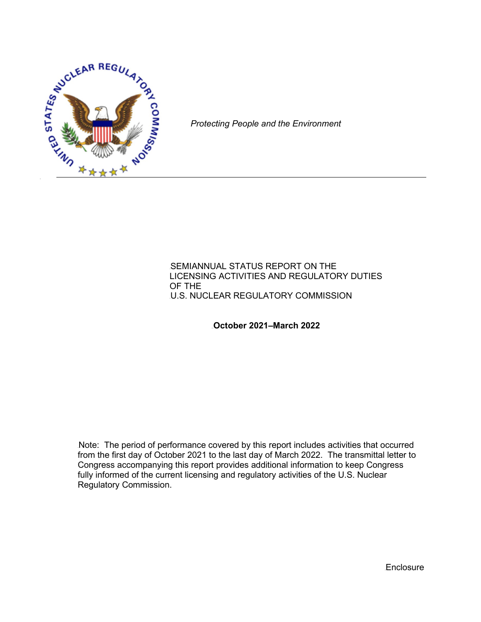

*Protecting People and the Environment*

#### **SEMIANNUAL STATUS REPORT ON THE** LICENSING ACTIVITIES AND REGULATORY DUTIES OF THE **U.S. NUCLEAR REGULATORY COMMISSION**

123B**October 2021–March 2022**

Note: The period of performance covered by this report includes activities that occurred from the first day of October 2021 to the last day of March 2022. The transmittal letter to Congress accompanying this report provides additional information to keep Congress fully informed of the current licensing and regulatory activities of the U.S. Nuclear Regulatory Commission.

**Enclosure**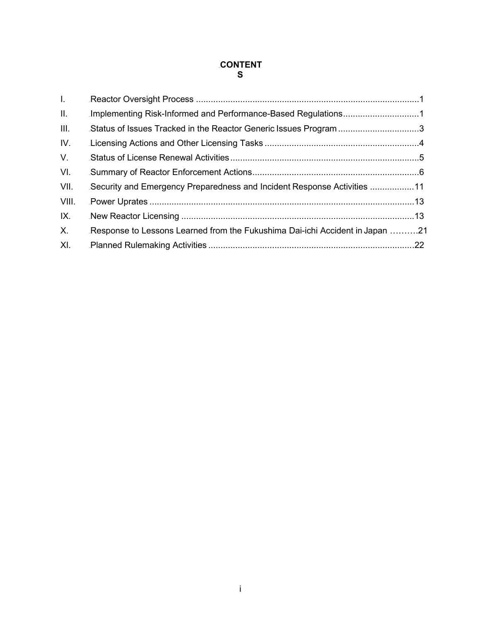## 124B**CONTENT S**

| Implementing Risk-Informed and Performance-Based Regulations1                |  |
|------------------------------------------------------------------------------|--|
| Status of Issues Tracked in the Reactor Generic Issues Program 3             |  |
|                                                                              |  |
|                                                                              |  |
|                                                                              |  |
| Security and Emergency Preparedness and Incident Response Activities 11      |  |
|                                                                              |  |
|                                                                              |  |
| Response to Lessons Learned from the Fukushima Dai-ichi Accident in Japan 21 |  |
|                                                                              |  |
|                                                                              |  |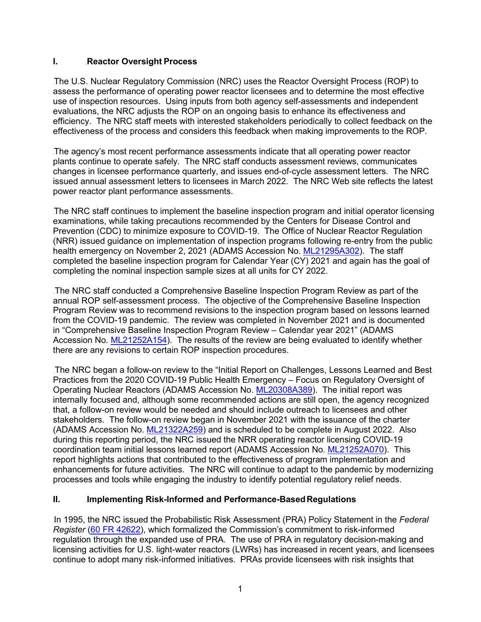## **I.** Reactor Oversight Process

The U.S. Nuclear Regulatory Commission (NRC) uses the Reactor Oversight Process (ROP) to assess the performance of operating power reactor licensees and to determine the most effective use of inspection resources. Using inputs from both agency self-assessments and independent evaluations, the NRC adjusts the ROP on an ongoing basis to enhance its effectiveness and efficiency. The NRC staff meets with interested stakeholders periodically to collect feedback on the effectiveness of the process and considers this feedback when making improvements to the ROP.

The agency's most recent performance assessments indicate that all operating power reactor plants continue to operate safely. The NRC staff conducts assessment reviews, communicates changes in licensee performance quarterly, and issues end-of-cycle assessment letters. The NRC issued annual assessment letters to licensees in March 2022. The NRC Web site reflects the latest power reactor plant performance assessments.

The NRC staff continues to implement the baseline inspection program and initial operator licensing examinations, while taking precautions recommended by the Centers for Disease Control and Prevention (CDC) to minimize exposure to COVID-19. The Office of Nuclear Reactor Regulation (NRR) issued guidance on implementation of inspection programs following re-entry from the public health emergency on November 2, 2021 (ADAMS Accession No. [ML21295A302\)](https://adamsxt.nrc.gov/idmws/ViewDocByAccession.asp?AccessionNumber=ML21295A302). The staff completed the baseline inspection program for Calendar Year (CY) 2021 and again has the goal of completing the nominal inspection sample sizes at all units for CY 2022.

The NRC staff conducted a Comprehensive Baseline Inspection Program Review as part of the annual ROP self-assessment process. The objective of the Comprehensive Baseline Inspection Program Review was to recommend revisions to the inspection program based on lessons learned from the COVID-19 pandemic. The review was completed in November 2021 and is documented in "Comprehensive Baseline Inspection Program Review – Calendar year 2021" (ADAMS Accession No. [ML21252A154\)](https://adamsxt.nrc.gov/idmws/ViewDocByAccession.asp?AccessionNumber=ML21252A154). The results of the review are being evaluated to identify whether there are any revisions to certain ROP inspection procedures.

The NRC began a follow-on review to the "Initial Report on Challenges, Lessons Learned and Best Practices from the 2020 COVID-19 Public Health Emergency – Focus on Regulatory Oversight of Operating Nuclear Reactors (ADAMS Accession No. [ML20308A389\)](https://adamsxt.nrc.gov/idmws/ViewDocByAccession.asp?AccessionNumber=ML20308A389). The initial report was internally focused and, although some recommended actions are still open, the agency recognized that, a follow-on review would be needed and should include outreach to licensees and other stakeholders. The follow-on review began in November 2021 with the issuance of the charter (ADAMS Accession No. [ML21322A259\)](https://adamsxt.nrc.gov/idmws/ViewDocByAccession.asp?AccessionNumber=ML21322A259) and is scheduled to be complete in August 2022. Also during this reporting period, the NRC issued the NRR operating reactor licensing COVID-19 coordination team initial lessons learned report (ADAMS Accession No. [ML21252A070\)](https://adamsxt.nrc.gov/navigator/AdamsXT/content/downloadContent.faces?objectStoreName=MainLibrary&vsId=%7b71FA64D9-C15C-C789-87F1-7BCAB3C00000%7d&ForceBrowserDownloadMgrPrompt=false). This report highlights actions that contributed to the effectiveness of program implementation and enhancements for future activities. The NRC will continue to adapt to the pandemic by modernizing processes and tools while engaging the industry to identify potential regulatory relief needs.

# **II.** 128**D** Implementing Risk-Informed and Performance-Based Regulations

8BIn 1995, the NRC issued the Probabilistic Risk Assessment (PRA) Policy Statement in the *Federal Register* (60 FR [42622\)](https://www.federalregister.gov/documents/1995/08/16/95-20237/use-of-probabilistic-risk-assessment-methods-in-nuclear-regulatory-activities-final-policy-statement), which formalized the Commission's commitment to risk-informed regulation through the expanded use of PRA. The use of PRA in regulatory decision-making and licensing activities for U.S. light-water reactors (LWRs) has increased in recent years, and licensees continue to adopt many risk-informed initiatives. PRAs provide licensees with risk insights that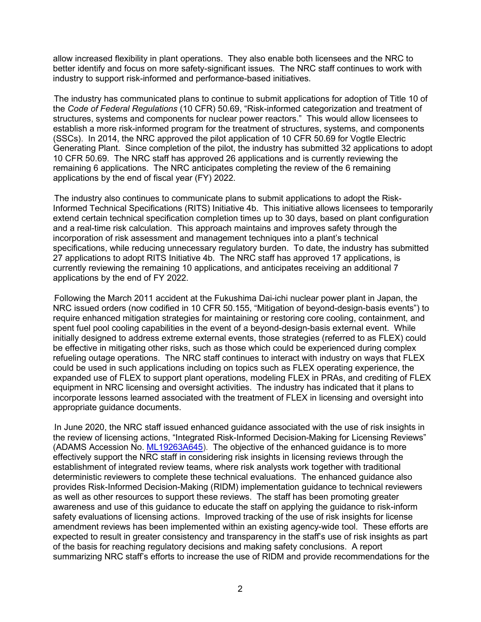allow increased flexibility in plant operations. They also enable both licensees and the NRC to better identify and focus on more safety-significant issues. The NRC staff continues to work with industry to support risk-informed and performance-based initiatives.

The industry has communicated plans to continue to submit applications for adoption of Title 10 of the *Code of Federal Regulations* (10 CFR) 50.69, "Risk-informed categorization and treatment of structures, systems and components for nuclear power reactors." This would allow licensees to establish a more risk-informed program for the treatment of structures, systems, and components (SSCs). In 2014, the NRC approved the pilot application of 10 CFR 50.69 for Vogtle Electric Generating Plant. Since completion of the pilot, the industry has submitted 32 applications to adopt 10 CFR 50.69. The NRC staff has approved 26 applications and is currently reviewing the remaining 6 applications. The NRC anticipates completing the review of the 6 remaining applications by the end of fiscal year (FY) 2022.

The industry also continues to communicate plans to submit applications to adopt the Risk-Informed Technical Specifications (RITS) Initiative 4b. This initiative allows licensees to temporarily extend certain technical specification completion times up to 30 days, based on plant configuration and a real-time risk calculation. This approach maintains and improves safety through the incorporation of risk assessment and management techniques into a plant's technical specifications, while reducing unnecessary regulatory burden. To date, the industry has submitted 27 applications to adopt RITS Initiative 4b. The NRC staff has approved 17 applications, is currently reviewing the remaining 10 applications, and anticipates receiving an additional 7 applications by the end of FY 2022.

Following the March 2011 accident at the Fukushima Dai-ichi nuclear power plant in Japan, the NRC issued orders (now codified in 10 CFR 50.155, "Mitigation of beyond-design-basis events") to require enhanced mitigation strategies for maintaining or restoring core cooling, containment, and spent fuel pool cooling capabilities in the event of a beyond-design-basis external event. While initially designed to address extreme external events, those strategies (referred to as FLEX) could be effective in mitigating other risks, such as those which could be experienced during complex refueling outage operations. The NRC staff continues to interact with industry on ways that FLEX could be used in such applications including on topics such as FLEX operating experience, the expanded use of FLEX to support plant operations, modeling FLEX in PRAs, and crediting of FLEX equipment in NRC licensing and oversight activities. The industry has indicated that it plans to incorporate lessons learned associated with the treatment of FLEX in licensing and oversight into appropriate guidance documents.

In June 2020, the NRC staff issued enhanced guidance associated with the use of risk insights in the review of licensing actions, "Integrated Risk-Informed Decision-Making for Licensing Reviews" (ADAMS Accession No. [ML19263A645\)](https://adamsxt.nrc.gov/navigator/AdamsXT/content/downloadContent.faces?objectStoreName=MainLibrary&vsId=%7b7842EF6C-90DB-CBC7-84C4-6D4E85A00000%7d&ForceBrowserDownloadMgrPrompt=false). The objective of the enhanced guidance is to more effectively support the NRC staff in considering risk insights in licensing reviews through the establishment of integrated review teams, where risk analysts work together with traditional deterministic reviewers to complete these technical evaluations. The enhanced guidance also provides Risk-Informed Decision-Making (RIDM) implementation guidance to technical reviewers as well as other resources to support these reviews. The staff has been promoting greater awareness and use of this guidance to educate the staff on applying the guidance to risk-inform safety evaluations of licensing actions. Improved tracking of the use of risk insights for license amendment reviews has been implemented within an existing agency-wide tool. These efforts are expected to result in greater consistency and transparency in the staff's use of risk insights as part of the basis for reaching regulatory decisions and making safety conclusions. A report summarizing NRC staff's efforts to increase the use of RIDM and provide recommendations for the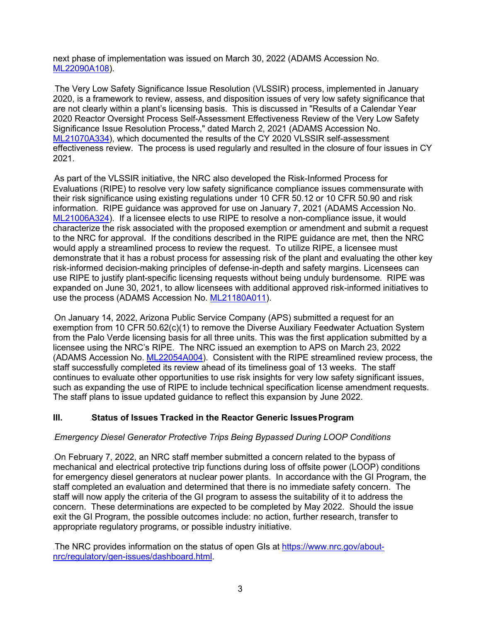next phase of implementation was issued on March 30, 2022 (ADAMS Accession No. [ML22090A108\)](https://adamsxt.nrc.gov/navigator/AdamsXT/content/downloadContent.faces?objectStoreName=MainLibrary&vsId=%7b18717D8A-0438-C6C5-8422-7FE0D4700000%7d&ForceBrowserDownloadMgrPrompt=false).

The Very Low Safety Significance Issue Resolution (VLSSIR) process, implemented in January 2020, is a framework to review, assess, and disposition issues of very low safety significance that are not clearly within a plant's licensing basis. This is discussed in "Results of a Calendar Year 2020 Reactor Oversight Process Self-Assessment Effectiveness Review of the Very Low Safety Significance Issue Resolution Process," dated March 2, 2021 (ADAMS Accession No. [ML21070A334\)](https://adamswebsearch2.nrc.gov/webSearch2/main.jsp?AccessionNumber=ML21070A334), which documented the results of the CY 2020 VLSSIR self-assessment effectiveness review. The process is used regularly and resulted in the closure of four issues in CY 2021.

As part of the VLSSIR initiative, the NRC also developed the Risk-Informed Process for Evaluations (RIPE) to resolve very low safety significance compliance issues commensurate with their risk significance using existing regulations under 10 CFR 50.12 or 10 CFR 50.90 and risk information. RIPE guidance was approved for use on January 7, 2021 (ADAMS Accession No. [ML21006A324\)](https://adamswebsearch2.nrc.gov/webSearch2/main.jsp?AccessionNumber=ML21006A324). If a licensee elects to use RIPE to resolve a non-compliance issue, it would characterize the risk associated with the proposed exemption or amendment and submit a request to the NRC for approval. If the conditions described in the RIPE guidance are met, then the NRC would apply a streamlined process to review the request. To utilize RIPE, a licensee must demonstrate that it has a robust process for assessing risk of the plant and evaluating the other key risk-informed decision-making principles of defense-in-depth and safety margins. Licensees can use RIPE to justify plant-specific licensing requests without being unduly burdensome. RIPE was expanded on June 30, 2021, to allow licensees with additional approved risk-informed initiatives to use the process (ADAMS Accession No. [ML21180A011\)](https://adamswebsearch2.nrc.gov/webSearch2/main.jsp?AccessionNumber=ML21180A011).

14BOn January 14, 2022, Arizona Public Service Company (APS) submitted a request for an exemption from 10 CFR 50.62(c)(1) to remove the Diverse Auxiliary Feedwater Actuation System from the Palo Verde licensing basis for all three units. This was the first application submitted by a licensee using the NRC's RIPE. The NRC issued an exemption to APS on March 23, 2022 (ADAMS Accession No. [ML22054A004\)](https://adamsxt.nrc.gov/navigator/AdamsXT/packagecontent/packageContent.faces?id=%7bA0CA5BB2-744B-C5DC-8592-7F2645B00000%7d&objectStoreName=MainLibrary&wId=1648214826334). Consistent with the RIPE streamlined review process, the staff successfully completed its review ahead of its timeliness goal of 13 weeks. The staff continues to evaluate other opportunities to use risk insights for very low safety significant issues, such as expanding the use of RIPE to include technical specification license amendment requests. The staff plans to issue updated guidance to reflect this expansion by June 2022.

# **III.** 125 Status of Issues Tracked in the Reactor Generic Issues Program

#### 179B*Emergency Diesel Generator Protective Trips Being Bypassed During LOOP Conditions*

180BOn February 7, 2022, an NRC staff member submitted a concern related to the bypass of mechanical and electrical protective trip functions during loss of offsite power (LOOP) conditions for emergency diesel generators at nuclear power plants. In accordance with the GI Program, the staff completed an evaluation and determined that there is no immediate safety concern. The staff will now apply the criteria of the GI program to assess the suitability of it to address the concern. These determinations are expected to be completed by May 2022. Should the issue exit the GI Program, the possible outcomes include: no action, further research, transfer to appropriate regulatory programs, or possible industry initiative.

The NRC provides information on the status of open GIs at [https://www.nrc.gov/about](https://www.nrc.gov/about-nrc/regulatory/gen-issues/dashboard.html)[nrc/regulatory/gen-issues/dashboard.html.](https://www.nrc.gov/about-nrc/regulatory/gen-issues/dashboard.html)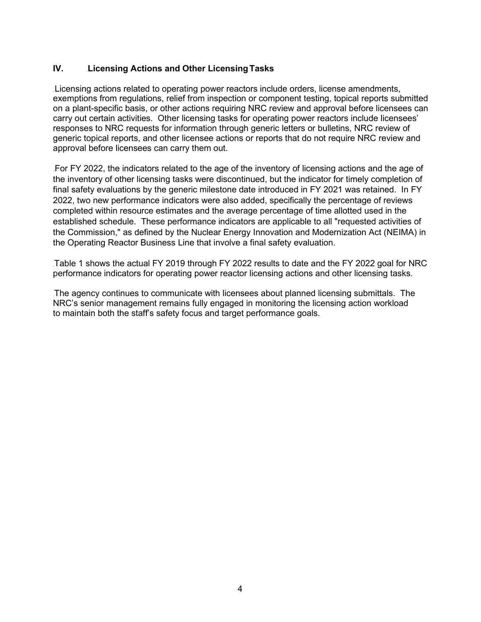# **IV.** Licensing Actions and Other Licensing Tasks

Licensing actions related to operating power reactors include orders, license amendments, exemptions from regulations, relief from inspection or component testing, topical reports submitted on a plant-specific basis, or other actions requiring NRC review and approval before licensees can carry out certain activities. Other licensing tasks for operating power reactors include licensees' responses to NRC requests for information through generic letters or bulletins, NRC review of generic topical reports, and other licensee actions or reports that do not require NRC review and approval before licensees can carry them out.

For FY 2022, the indicators related to the age of the inventory of licensing actions and the age of the inventory of other licensing tasks were discontinued, but the indicator for timely completion of final safety evaluations by the generic milestone date introduced in FY 2021 was retained. In FY 2022, two new performance indicators were also added, specifically the percentage of reviews completed within resource estimates and the average percentage of time allotted used in the established schedule. These performance indicators are applicable to all "requested activities of the Commission," as defined by the Nuclear Energy Innovation and Modernization Act (NEIMA) in the Operating Reactor Business Line that involve a final safety evaluation.

Table 1 shows the actual FY 2019 through FY 2022 results to date and the FY 2022 goal for NRC performance indicators for operating power reactor licensing actions and other licensing tasks.

The agency continues to communicate with licensees about planned licensing submittals. The NRC's senior management remains fully engaged in monitoring the licensing action workload to maintain both the staff's safety focus and target performance goals.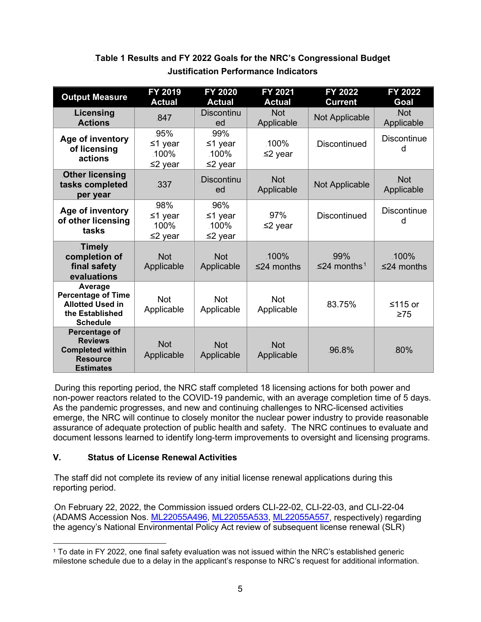| <b>Output Measure</b>                                                                                 | FY 2019<br><b>Actual</b>              | <b>FY 2020</b><br><b>Actual</b>          | <b>FY 2021</b><br><b>Actual</b> | <b>FY 2022</b><br><b>Current</b> | <b>FY 2022</b><br>Goal   |
|-------------------------------------------------------------------------------------------------------|---------------------------------------|------------------------------------------|---------------------------------|----------------------------------|--------------------------|
| Licensing<br><b>Actions</b>                                                                           | .847                                  | Discontinu<br>ed                         | <b>Not</b><br>Applicable        | Not Applicable                   | Not.<br>Applicable       |
| Age of inventory<br>of licensing<br>actions                                                           | .95%<br>.≤1 year<br>.100%<br>.≤2 year | .99%<br>.≤1 year<br>.100%<br>.≤2 year    | $.100\%$<br>.≤2 year            | <b>Discontinued</b>              | Discontinue<br>d         |
| <b>Other licensing</b><br>tasks completed<br>per year                                                 | .337                                  | <b>Discontinu</b><br>ed                  | <b>Not</b><br>Applicable        | Not Applicable                   | <b>Not</b><br>Applicable |
| Age of inventory<br>of other licensing<br>tasks                                                       | .98%<br>.≤1 year<br>.100%<br>.≤2 year | .96%<br>.≤1 year<br>$.100\%$<br>.≤2 year | .97%<br>.≤2 year                | <b>Discontinued</b>              | Discontinue              |
| Timely<br>completion of<br>final safety<br>evaluations                                                | <b>Not</b><br>Applicable              | <b>Not</b><br>Applicable                 | .100%<br>$≤24$ months           | .99%<br>≤24 months <sup>1</sup>  | $.100\%$<br>≤24 months   |
| Average<br><b>Percentage of Time</b><br><b>Allotted Used in</b><br>the Established<br><b>Schedule</b> | <b>Not</b><br>Applicable              | .Not<br>Applicable                       | <b>Not</b><br>Applicable        | 83.75%                           | ≤115 or<br>.≥75          |
| Percentage of<br><b>Reviews</b><br><b>Completed within</b><br><b>Resource</b><br><b>Estimates</b>     | <b>Not</b><br>Applicable              | <b>Not</b><br>Applicable                 | <b>Not</b><br>Applicable        | .96.8%                           | .80%                     |

# Table 1 Results and FY 2022 Goals for the NRC's Congressional Budget 130B**Justification Performance Indicators**

During this reporting period, the NRC staff completed 18 licensing actions for both power and non-power reactors related to the COVID-19 pandemic, with an average completion time of 5 days. As the pandemic progresses, and new and continuing challenges to NRC-licensed activities emerge, the NRC will continue to closely monitor the nuclear power industry to provide reasonable assurance of adequate protection of public health and safety. The NRC continues to evaluate and document lessons learned to identify long-term improvements to oversight and licensing programs.

# **V.** 131B**Status of License Renewal Activities**

The staff did not complete its review of any initial license renewal applications during this reporting period.

83BOn February 22, 2022, the Commission issued orders CLI-22-02, CLI-22-03, and CLI-22-04 (ADAMS Accession Nos. [ML22055A496,](https://adamswebsearch2.nrc.gov/webSearch2/main.jsp?AccessionNumber=ML22055A496) [ML22055A533,](https://adamswebsearch2.nrc.gov/webSearch2/main.jsp?AccessionNumber=ML22055A533) [ML22055A557,](https://adamswebsearch2.nrc.gov/webSearch2/main.jsp?AccessionNumber=ML22055A557) respectively) regarding the agency's National Environmental Policy Act review of subsequent license renewal (SLR)

<sup>1</sup> To date in FY 2022, one final safety evaluation was not issued within the NRC's established generic milestone schedule due to a delay in the applicant's response to NRC's request for additional information.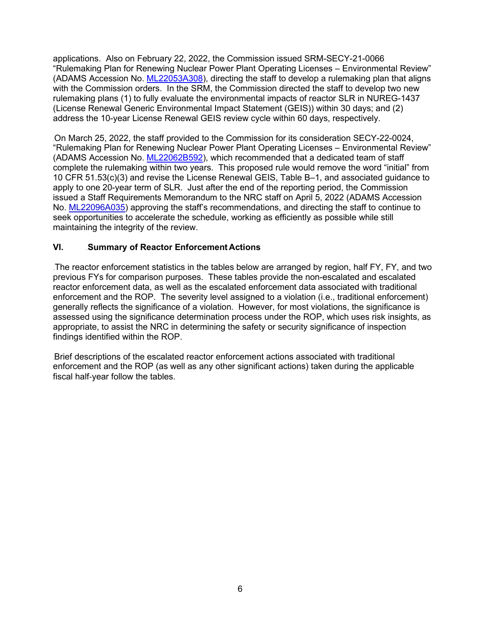applications. Also on February 22, 2022, the Commission issued SRM-SECY-21-0066 "Rulemaking Plan for Renewing Nuclear Power Plant Operating Licenses – Environmental Review" (ADAMS Accession No. [ML22053A308\)](https://adamswebsearch2.nrc.gov/webSearch2/main.jsp?AccessionNumber=ML22053A308), directing the staff to develop a rulemaking plan that aligns with the Commission orders. In the SRM, the Commission directed the staff to develop two new rulemaking plans (1) to fully evaluate the environmental impacts of reactor SLR in NUREG-1437 (License Renewal Generic Environmental Impact Statement (GEIS)) within 30 days; and (2) address the 10-year License Renewal GEIS review cycle within 60 days, respectively.

On March 25, 2022, the staff provided to the Commission for its consideration SECY-22-0024, "Rulemaking Plan for Renewing Nuclear Power Plant Operating Licenses – Environmental Review" (ADAMS Accession No. [ML22062B592\)](https://adamswebsearch2.nrc.gov/webSearch2/main.jsp?AccessionNumber=ML22062B592), which recommended that a dedicated team of staff complete the rulemaking within two years. This proposed rule would remove the word "initial" from 10 CFR 51.53(c)(3) and revise the License Renewal GEIS, Table B–1, and associated guidance to apply to one 20-year term of SLR. Just after the end of the reporting period, the Commission issued a Staff Requirements Memorandum to the NRC staff on April 5, 2022 (ADAMS Accession No. [ML22096A035\)](https://adamsxt.nrc.gov/navigator/AdamsXT/content/downloadContent.faces?objectStoreName=MainLibrary&vsId=%7b2ED9D19F-823C-CA25-8529-7FFECFF00000%7d&ForceBrowserDownloadMgrPrompt=false) approving the staff's recommendations, and directing the staff to continue to seek opportunities to accelerate the schedule, working as efficiently as possible while still maintaining the integrity of the review.

## **VI.** Summary of Reactor Enforcement Actions

The reactor enforcement statistics in the tables below are arranged by region, half FY, FY, and two previous FYs for comparison purposes. These tables provide the non-escalated and escalated reactor enforcement data, as well as the escalated enforcement data associated with traditional enforcement and the ROP. The severity level assigned to a violation (i.e., traditional enforcement) generally reflects the significance of a violation. However, for most violations, the significance is assessed using the significance determination process under the ROP, which uses risk insights, as appropriate, to assist the NRC in determining the safety or security significance of inspection findings identified within the ROP.

Brief descriptions of the escalated reactor enforcement actions associated with traditional enforcement and the ROP (as well as any other significant actions) taken during the applicable fiscal half-year follow the tables.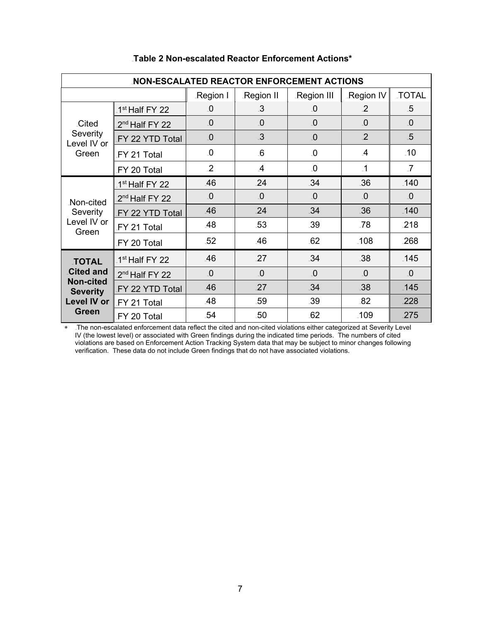| <b>NON-ESCALATED REACTOR ENFORCEMENT ACTIONS</b>                                                              |                            |                         |                |                         |                |                |
|---------------------------------------------------------------------------------------------------------------|----------------------------|-------------------------|----------------|-------------------------|----------------|----------------|
|                                                                                                               |                            | Region I                | Region II      | Region III              | Region IV      | <b>TOTAL</b>   |
|                                                                                                               | 1 <sup>st</sup> Half FY 22 | $\Omega$                | $\mathbf{3}$   | $\Omega$ .              | 2              | .5             |
| <b>Cited</b>                                                                                                  | 2 <sup>nd</sup> Half FY 22 | $\Omega$                | $\Omega$       | $\Omega$                | .0             | $\Omega$       |
| Severity<br>Level IV or<br>Green                                                                              | FY 22 YTD Total            | $\overline{\mathbf{0}}$ | $\mathbf{3}$   | $\overline{\mathbf{0}}$ | $\overline{2}$ | $-5$           |
|                                                                                                               | FY 21 Total                | $\Omega$                | 6              | $\overline{0}$          | $\overline{A}$ | .10            |
|                                                                                                               | FY 20 Total                | $\overline{2}$          | $\overline{A}$ | $\Omega$                | $\cdot$ 1      | $\overline{7}$ |
|                                                                                                               | 1 <sup>st</sup> Half FY 22 | .46                     | 24             | .34                     | .36            | $-140$         |
| Non-cited                                                                                                     | 2 <sup>nd</sup> Half FY 22 | $\overline{\mathbf{0}}$ | $\Omega$       | $\Omega$                | $\Omega$       | $\Omega$       |
| Severity                                                                                                      | FY 22 YTD Total            | .46                     | 24             | .34                     | .36            | $-140$         |
| Level IV or<br>Green                                                                                          | FY 21 Total                | .48                     | .53            | .39                     | .78            | .218           |
|                                                                                                               | FY 20 Total                | $-52$                   | .46            | 62                      | $-108$         | .268           |
| <b>TOTAL</b><br><b>Cited and</b><br><b>Non-cited</b><br><b>Severity</b><br><b>Level IV or</b><br><b>Green</b> | 1 <sup>st</sup> Half FY 22 | .46                     | 27             | .34                     | 38             | $-145$         |
|                                                                                                               | 2 <sup>nd</sup> Half FY 22 | $\Omega$                | $\Omega$       | $\overline{0}$          | $\Omega$       | $\overline{0}$ |
|                                                                                                               | FY 22 YTD Total            | .46                     | 27             | .34                     | .38            | $-145$         |
|                                                                                                               | FY 21 Total                | .48                     | .59            | .39                     | .82            | .228           |
|                                                                                                               | FY 20 Total                | .54                     | .50            | 62                      | $-109$         | .275           |

## 133B**Table 2 Non-escalated Reactor Enforcement Actions\***

∗ 159BThe non-escalated enforcement data reflect the cited and non-cited violations either categorized at Severity Level IV (the lowest level) or associated with Green findings during the indicated time periods. The numbers of cited violations are based on Enforcement Action Tracking System data that may be subject to minor changes following verification. These data do not include Green findings that do not have associated violations.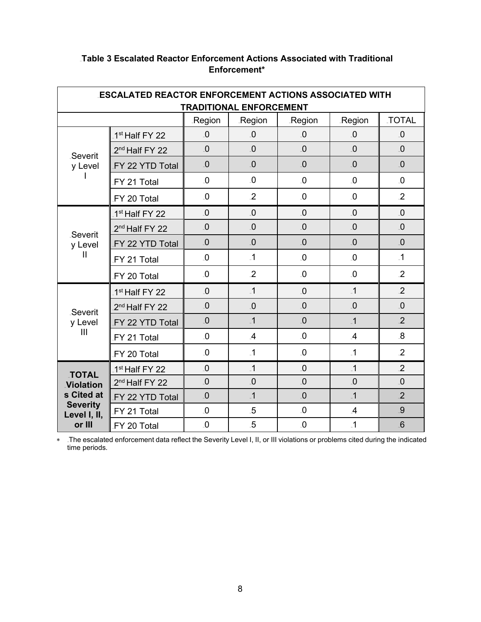| <b>ESCALATED REACTOR ENFORCEMENT ACTIONS ASSOCIATED WITH</b><br><b>TRADITIONAL ENFORCEMENT</b> |                            |                         |                         |                         |                         |                         |
|------------------------------------------------------------------------------------------------|----------------------------|-------------------------|-------------------------|-------------------------|-------------------------|-------------------------|
|                                                                                                |                            | <b>Region</b>           | .Region                 | Region                  | .Region                 | <b>TOTAL</b>            |
| Severit<br>y Level                                                                             | 1 <sup>st</sup> Half FY 22 | $\overline{\mathbf{0}}$ | 0                       | $\Omega$                | $\Omega$                | $\overline{\mathbf{0}}$ |
|                                                                                                | 2 <sup>nd</sup> Half FY 22 | 0                       | 0                       | $\Omega$                | $\overline{\mathbf{0}}$ | $\overline{\mathbf{0}}$ |
|                                                                                                | FY 22 YTD Total            | $\Omega$                | .0                      | $\overline{0}$          | $\Omega$                | $\Omega$                |
|                                                                                                | FY 21 Total                | $\overline{\mathbf{0}}$ | $\overline{\mathbf{0}}$ | $\overline{\mathbf{0}}$ | $\overline{\mathbf{0}}$ | $\overline{\mathbf{0}}$ |
|                                                                                                | FY 20 Total                | $\overline{\mathbf{0}}$ | $\overline{2}$          | $\overline{\mathbf{0}}$ | $\overline{\mathbf{0}}$ | $\overline{2}$          |
|                                                                                                | 1 <sup>st</sup> Half FY 22 | $\overline{\mathbf{0}}$ | $\Omega$                | $\Omega_{-}$            | $\overline{\mathbf{0}}$ | $\Omega_{-}$            |
| Severit                                                                                        | 2 <sup>nd</sup> Half FY 22 | $\overline{\mathbf{0}}$ | .0                      | $\overline{\mathbf{0}}$ | $\overline{0}$          | $\overline{\mathbf{0}}$ |
| y Level                                                                                        | FY 22 YTD Total            | $\overline{\mathbf{0}}$ | $\overline{\mathbf{0}}$ | $\overline{\mathbf{0}}$ | $\overline{\mathbf{0}}$ | $\Omega$                |
| Ш                                                                                              | FY 21 Total                | $\overline{0}$          | $\cdot$ 1               | $\overline{0}$          | $\overline{\mathbf{0}}$ | $\cdot$ 1               |
|                                                                                                | FY 20 Total                | $\overline{\mathbf{0}}$ | $\overline{2}$          | $\overline{0}$          | $\overline{0}$          | $\overline{2}$          |
|                                                                                                | 1 <sup>st</sup> Half FY 22 | $\overline{\mathbf{0}}$ | $\overline{.1}$         | $\Omega$                | $\overline{.}1$         | $\overline{2}$          |
| Severit                                                                                        | 2 <sup>nd</sup> Half FY 22 | $\overline{\mathbf{0}}$ | $\overline{\mathbf{0}}$ | $\overline{\mathbf{0}}$ | $\overline{\mathbf{0}}$ | $\overline{\mathbf{0}}$ |
| y Level                                                                                        | FY 22 YTD Total            | $\overline{\mathbf{0}}$ | $\cdot$ 1               | $\overline{\mathbf{0}}$ | $\overline{1}$          | $\overline{2}$          |
| III                                                                                            | FY 21 Total                | $\overline{\mathbf{0}}$ | $\overline{A}$          | $\overline{\mathbf{0}}$ | $\overline{A}$          | $\overline{8}$          |
|                                                                                                | FY 20 Total                | $\overline{\mathbf{0}}$ | $\cdot$ 1               | $\Omega$                | $\cdot$ 1               | $\overline{2}$          |
| <b>TOTAL</b><br><b>Violation</b><br>s Cited at<br><b>Severity</b><br>Level I, II,<br>or III    | 1 <sup>st</sup> Half FY 22 | $\overline{0}$          | $\cdot$ 1               | $\overline{0}$          | $\overline{1}$          | $\overline{2}$          |
|                                                                                                | 2 <sup>nd</sup> Half FY 22 | $\overline{\mathbf{0}}$ | $\overline{\mathbf{0}}$ | $\overline{\mathbf{0}}$ | $\overline{\mathbf{0}}$ | $\overline{\mathbf{0}}$ |
|                                                                                                | FY 22 YTD Total            | $\overline{\mathbf{0}}$ | $\overline{.1}$         | $\overline{\mathbf{0}}$ | $\overline{1}$          | $\overline{2}$          |
|                                                                                                | FY 21 Total                | $\Omega$                | $.5\,$                  | $\overline{0}$          | $\mathcal{A}$           | 9                       |
|                                                                                                | FY 20 Total                | $\overline{\mathbf{0}}$ | $5\overline{5}$         | $\mathbf{0}$            | $\overline{.1}$         | 6                       |

# 134B**Table 3 Escalated Reactor Enforcement Actions Associated with Traditional Enforcement\***

∗ 160BThe escalated enforcement data reflect the Severity Level I, II, or III violations or problems cited during the indicated time periods.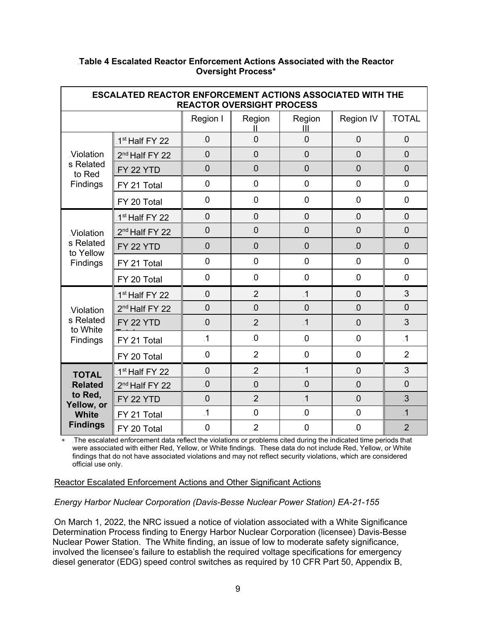| <b>ESCALATED REACTOR ENFORCEMENT ACTIONS ASSOCIATED WITH THE</b><br><b>REACTOR OVERSIGHT PROCESS</b> |                            |                         |                         |                         |                         |                         |
|------------------------------------------------------------------------------------------------------|----------------------------|-------------------------|-------------------------|-------------------------|-------------------------|-------------------------|
|                                                                                                      |                            | Region I                | <b>Region</b>           | Region<br>Ш             | Region IV               | <b>TOTAL</b>            |
| <b>Violation</b>                                                                                     | 1 <sup>st</sup> Half FY 22 | $\Omega$                | 0                       | $\overline{\mathbf{0}}$ | 0                       | $\Omega$                |
|                                                                                                      | 2 <sup>nd</sup> Half FY 22 | $\overline{0}$          | $\overline{\mathbf{0}}$ | $\Omega$                | $\Omega$                | $\Omega$                |
| s Related<br>to Red                                                                                  | FY 22 YTD                  | $\overline{\mathbf{0}}$ | $\Omega$                | $\overline{\mathbf{0}}$ | $\Omega$                | $\Omega$                |
| Findings                                                                                             | FY 21 Total                | $\Omega$                | $\overline{\mathbf{0}}$ | $\overline{\mathbf{0}}$ | $\Omega$                | $\Omega$                |
|                                                                                                      | FY 20 Total                | $\Omega$                | $\Omega$                | $\overline{\mathbf{0}}$ | $\Omega$                | $\Omega$                |
|                                                                                                      | 1 <sup>st</sup> Half FY 22 | $\Omega$                | .0                      | $\Omega$                | $\Omega$                | $\Omega$                |
| <b>Violation</b>                                                                                     | 2 <sup>nd</sup> Half FY 22 | $\Omega$                | 0                       | $\overline{\mathbf{0}}$ | $\Omega$                | 0                       |
| s Related<br>to Yellow                                                                               | FY 22 YTD                  | 0                       | $\overline{\mathbf{0}}$ | $\overline{\mathbf{0}}$ | $\overline{\mathbf{0}}$ | $\overline{\mathbf{0}}$ |
| Findings                                                                                             | FY 21 Total                | $\Omega$                | $\Omega$                | $\overline{\mathbf{0}}$ | $\overline{\mathbf{0}}$ | $\overline{\mathbf{0}}$ |
|                                                                                                      | FY 20 Total                | $\overline{0}$          | $\overline{\mathbf{0}}$ | $\overline{\mathbf{0}}$ | $\overline{\mathbf{0}}$ | $\overline{\mathbf{0}}$ |
|                                                                                                      | 1 <sup>st</sup> Half FY 22 | $\overline{0}$          | $\overline{2}$          | $\overline{.1}$         | $\Omega$                | 3                       |
| <b>Violation</b>                                                                                     | 2 <sup>nd</sup> Half FY 22 | $\overline{\mathbf{0}}$ | 0                       | $\overline{\mathbf{0}}$ | $\overline{\mathbf{0}}$ | $\overline{\mathbf{0}}$ |
| s Related<br>to White                                                                                | FY 22 YTD                  | $\Omega$                | $\overline{2}$          | $\overline{.1}$         | $\Omega$                | $\mathbf{3}$            |
| Findings                                                                                             | FY 21 Total                | $\overline{.1}$         | $\Omega$                | $\overline{\mathbf{0}}$ | $\Omega$                | $\overline{.1}$         |
|                                                                                                      | FY 20 Total                | $\Omega$                | $\overline{2}$          | $\overline{0}$          | $\overline{\mathbf{0}}$ | $\overline{2}$          |
| <b>TOTAL</b><br><b>Related</b><br>to Red,<br>Yellow, or<br><b>White</b><br><b>Findings</b>           | 1 <sup>st</sup> Half FY 22 | $\Omega$                | $\overline{2}$          | $\cdot$ 1               | $\overline{0}$          | $\mathbf{3}$            |
|                                                                                                      | 2 <sup>nd</sup> Half FY 22 | $\overline{\mathbf{0}}$ | .0                      | $\overline{\mathbf{0}}$ | $\Omega$                | $\Omega$                |
|                                                                                                      | FY 22 YTD                  | $\Omega$                | $\overline{2}$          | $\cdot$ 1               | $\overline{\mathbf{0}}$ | $\mathbf{3}$            |
|                                                                                                      | FY 21 Total                | $\overline{1}$          | $\Omega$                | $\Omega$                | $\Omega$                | $\overline{.1}$         |
|                                                                                                      | FY 20 Total                | $\overline{\mathbf{0}}$ | $\overline{2}$          | $\mathbf{0}$            | $\Omega$                | $\overline{2}$          |

## 135B**Table 4 Escalated Reactor Enforcement Actions Associated with the Reactor Oversight Process\***

⊥The escalated enforcement data reflect the violations or problems cited during the indicated time periods that were associated with either Red, Yellow, or White findings. These data do not include Red, Yellow, or White findings that do not have associated violations and may not reflect security violations, which are considered official use only.

Reactor Escalated Enforcement Actions and Other Significant Actions

460B*Energy Harbor Nuclear Corporation (Davis-Besse Nuclear Power Station) EA-21-155*

On March 1, 2022, the NRC issued a notice of violation associated with a White Significance Determination Process finding to Energy Harbor Nuclear Corporation (licensee) Davis-Besse Nuclear Power Station. The White finding, an issue of low to moderate safety significance, involved the licensee's failure to establish the required voltage specifications for emergency diesel generator (EDG) speed control switches as required by 10 CFR Part 50, Appendix B,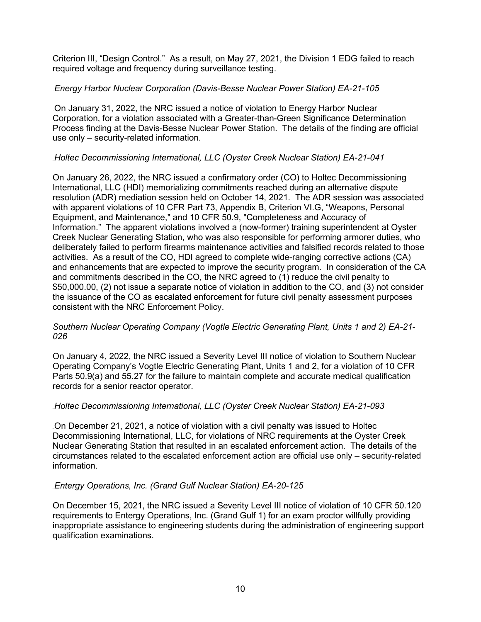Criterion III, "Design Control." As a result, on May 27, 2021, the Division 1 EDG failed to reach required voltage and frequency during surveillance testing.

## 462B*Energy Harbor Nuclear Corporation (Davis-Besse Nuclear Power Station) EA-21-105*

On January 31, 2022, the NRC issued a notice of violation to Energy Harbor Nuclear Corporation, for a violation associated with a Greater-than-Green Significance Determination Process finding at the Davis-Besse Nuclear Power Station. The details of the finding are official use only – security-related information.

## 464B*Holtec Decommissioning International, LLC (Oyster Creek Nuclear Station) EA-21-041*

On January 26, 2022, the NRC issued a confirmatory order (CO) to Holtec Decommissioning International, LLC (HDI) memorializing commitments reached during an alternative dispute resolution (ADR) mediation session held on October 14, 2021. The ADR session was associated with apparent violations of 10 CFR Part 73, Appendix B, Criterion VI.G, "Weapons, Personal Equipment, and Maintenance," and 10 CFR 50.9, "Completeness and Accuracy of Information." The apparent violations involved a (now-former) training superintendent at Oyster Creek Nuclear Generating Station, who was also responsible for performing armorer duties, who deliberately failed to perform firearms maintenance activities and falsified records related to those activities. As a result of the CO, HDI agreed to complete wide-ranging corrective actions (CA) and enhancements that are expected to improve the security program. In consideration of the CA and commitments described in the CO, the NRC agreed to (1) reduce the civil penalty to \$50,000.00, (2) not issue a separate notice of violation in addition to the CO, and (3) not consider the issuance of the CO as escalated enforcement for future civil penalty assessment purposes consistent with the NRC Enforcement Policy.

#### *Southern Nuclear Operating Company (Vogtle Electric Generating Plant, Units 1 and 2) EA-21- 026*

On January 4, 2022, the NRC issued a Severity Level III notice of violation to Southern Nuclear Operating Company's Vogtle Electric Generating Plant, Units 1 and 2, for a violation of 10 CFR Parts 50.9(a) and 55.27 for the failure to maintain complete and accurate medical qualification records for a senior reactor operator.

#### 465B*Holtec Decommissioning International, LLC (Oyster Creek Nuclear Station) EA-21-093*

466BOn December 21, 2021, a notice of violation with a civil penalty was issued to Holtec Decommissioning International, LLC, for violations of NRC requirements at the Oyster Creek Nuclear Generating Station that resulted in an escalated enforcement action. The details of the circumstances related to the escalated enforcement action are official use only – security-related information.

#### 467B*Entergy Operations, Inc. (Grand Gulf Nuclear Station) EA-20-125*

On December 15, 2021, the NRC issued a Severity Level III notice of violation of 10 CFR 50.120 requirements to Entergy Operations, Inc. (Grand Gulf 1) for an exam proctor willfully providing inappropriate assistance to engineering students during the administration of engineering support qualification examinations.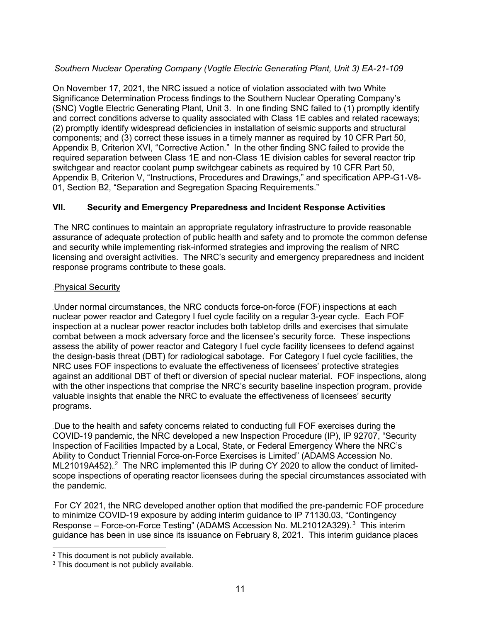# 468B*Southern Nuclear Operating Company (Vogtle Electric Generating Plant, Unit 3) EA-21-109*

On November 17, 2021, the NRC issued a notice of violation associated with two White Significance Determination Process findings to the Southern Nuclear Operating Company's (SNC) Vogtle Electric Generating Plant, Unit 3. In one finding SNC failed to (1) promptly identify and correct conditions adverse to quality associated with Class 1E cables and related raceways; (2) promptly identify widespread deficiencies in installation of seismic supports and structural components; and (3) correct these issues in a timely manner as required by 10 CFR Part 50, Appendix B, Criterion XVI, "Corrective Action." In the other finding SNC failed to provide the required separation between Class 1E and non-Class 1E division cables for several reactor trip switchgear and reactor coolant pump switchgear cabinets as required by 10 CFR Part 50, Appendix B, Criterion V, "Instructions, Procedures and Drawings," and specification APP-G1-V8- 01, Section B2, "Separation and Segregation Spacing Requirements."

## **VII.** 137B**Security and Emergency Preparedness and Incident Response Activities**

The NRC continues to maintain an appropriate regulatory infrastructure to provide reasonable assurance of adequate protection of public health and safety and to promote the common defense and security while implementing risk-informed strategies and improving the realism of NRC licensing and oversight activities. The NRC's security and emergency preparedness and incident response programs contribute to these goals.

#### Physical Security

Under normal circumstances, the NRC conducts force-on-force (FOF) inspections at each nuclear power reactor and Category I fuel cycle facility on a regular 3-year cycle. Each FOF inspection at a nuclear power reactor includes both tabletop drills and exercises that simulate combat between a mock adversary force and the licensee's security force. These inspections assess the ability of power reactor and Category I fuel cycle facility licensees to defend against the design-basis threat (DBT) for radiological sabotage. For Category I fuel cycle facilities, the NRC uses FOF inspections to evaluate the effectiveness of licensees' protective strategies against an additional DBT of theft or diversion of special nuclear material. FOF inspections, along with the other inspections that comprise the NRC's security baseline inspection program, provide valuable insights that enable the NRC to evaluate the effectiveness of licensees' security programs.

Due to the health and safety concerns related to conducting full FOF exercises during the COVID-19 pandemic, the NRC developed a new Inspection Procedure (IP), IP 92707, "Security Inspection of Facilities Impacted by a Local, State, or Federal Emergency Where the NRC's Ability to Conduct Triennial Force-on-Force Exercises is Limited" (ADAMS Accession No. ML21019A452).<sup>2</sup> The NRC implemented this IP during CY 2020 to allow the conduct of limitedscope inspections of operating reactor licensees during the special circumstances associated with the pandemic.

For CY 2021, the NRC developed another option that modified the pre-pandemic FOF procedure to minimize COVID-19 exposure by adding interim guidance to IP 71130.03, "Contingency Response – Force-on-Force Testing" (ADAMS Accession No. ML21012A329).<sup>3</sup> This interim guidance has been in use since its issuance on February 8, 2021. This interim guidance places

<sup>2</sup> This document is not publicly available.

<sup>&</sup>lt;sup>3</sup> This document is not publicly available.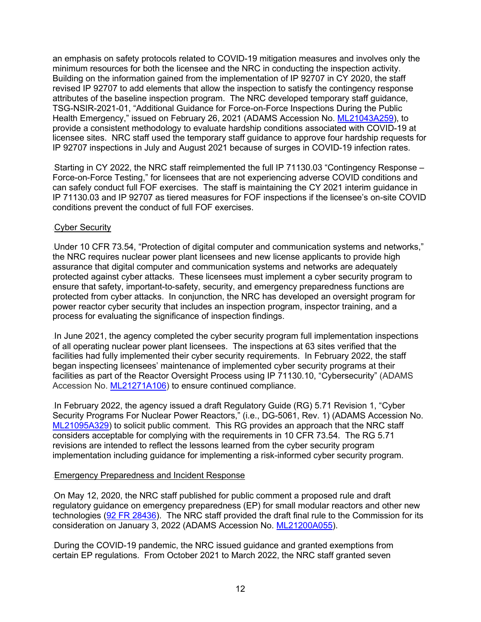an emphasis on safety protocols related to COVID-19 mitigation measures and involves only the minimum resources for both the licensee and the NRC in conducting the inspection activity. Building on the information gained from the implementation of IP 92707 in CY 2020, the staff revised IP 92707 to add elements that allow the inspection to satisfy the contingency response attributes of the baseline inspection program. The NRC developed temporary staff guidance, TSG-NSIR-2021-01, "Additional Guidance for Force-on-Force Inspections During the Public Health Emergency," issued on February 26, 2021 (ADAMS Accession No. [ML21043A259\)](https://adamsxt.nrc.gov/navigator/AdamsXT/content/downloadContent.faces?objectStoreName=MainLibrary&vsId=%7b6CB10831-B756-CB4A-8D40-7797A3700000%7d&ForceBrowserDownloadMgrPrompt=false), to provide a consistent methodology to evaluate hardship conditions associated with COVID-19 at licensee sites. NRC staff used the temporary staff guidance to approve four hardship requests for IP 92707 inspections in July and August 2021 because of surges in COVID-19 infection rates.

Starting in CY 2022, the NRC staff reimplemented the full IP 71130.03 "Contingency Response – Force-on-Force Testing," for licensees that are not experiencing adverse COVID conditions and can safely conduct full FOF exercises. The staff is maintaining the CY 2021 interim guidance in IP 71130.03 and IP 92707 as tiered measures for FOF inspections if the licensee's on-site COVID conditions prevent the conduct of full FOF exercises.

#### Cyber Security

Under 10 CFR 73.54, "Protection of digital computer and communication systems and networks," the NRC requires nuclear power plant licensees and new license applicants to provide high assurance that digital computer and communication systems and networks are adequately protected against cyber attacks. These licensees must implement a cyber security program to ensure that safety, important-to-safety, security, and emergency preparedness functions are protected from cyber attacks. In conjunction, the NRC has developed an oversight program for power reactor cyber security that includes an inspection program, inspector training, and a process for evaluating the significance of inspection findings.

In June 2021, the agency completed the cyber security program full implementation inspections of all operating nuclear power plant licensees. The inspections at 63 sites verified that the facilities had fully implemented their cyber security requirements. In February 2022, the staff began inspecting licensees' maintenance of implemented cyber security programs at their facilities as part of the Reactor Oversight Process using IP 71130.10, "Cybersecurity" (ADAMS Accession No. [ML21271A106\)](https://adamswebsearch2.nrc.gov/webSearch2/main.jsp?AccessionNumber=ML21271A106) to ensure continued compliance.

In February 2022, the agency issued a draft Regulatory Guide (RG) 5.71 Revision 1, "Cyber Security Programs For Nuclear Power Reactors," (i.e., DG-5061, Rev. 1) (ADAMS Accession No. [ML21095A329\)](https://adamswebsearch2.nrc.gov/webSearch2/main.jsp?AccessionNumber=ML21095A329) to solicit public comment. This RG provides an approach that the NRC staff considers acceptable for complying with the requirements in 10 CFR 73.54. The RG 5.71 revisions are intended to reflect the lessons learned from the cyber security program implementation including guidance for implementing a risk-informed cyber security program.

#### **Emergency Preparedness and Incident Response**

On May 12, 2020, the NRC staff published for public comment a proposed rule and draft regulatory guidance on emergency preparedness (EP) for small modular reactors and other new technologies [\(92 FR 28436\)](https://www.federalregister.gov/documents/2020/05/12/2020-09666/emergency-preparedness-for-small-modular-reactors-and-other-new-technologies). The NRC staff provided the draft final rule to the Commission for its consideration on January 3, 2022 (ADAMS Accession No. [ML21200A055\)](https://adamswebsearch2.nrc.gov/webSearch2/main.jsp?AccessionNumber=ML21200A055).

During the COVID-19 pandemic, the NRC issued guidance and granted exemptions from certain EP regulations. From October 2021 to March 2022, the NRC staff granted seven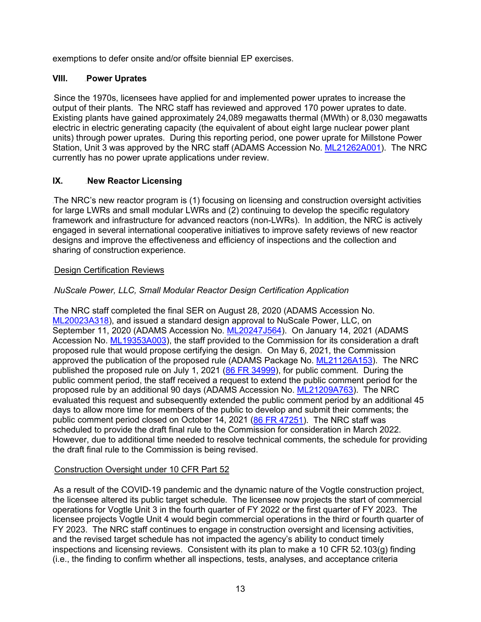exemptions to defer onsite and/or offsite biennial EP exercises.

# **VIII.** Power Uprates

Since the 1970s, licensees have applied for and implemented power uprates to increase the output of their plants. The NRC staff has reviewed and approved 170 power uprates to date. Existing plants have gained approximately 24,089 megawatts thermal (MWth) or 8,030 megawatts electric in electric generating capacity (the equivalent of about eight large nuclear power plant units) through power uprates. During this reporting period, one power uprate for Millstone Power Station, Unit 3 was approved by the NRC staff (ADAMS Accession No. [ML21262A001\)](https://adamsxt.nrc.gov/idmws/ViewDocByAccession.asp?AccessionNumber=ML21262A001). The NRC currently has no power uprate applications under review.

# **IX.** New Reactor Licensing

The NRC's new reactor program is (1) focusing on licensing and construction oversight activities for large LWRs and small modular LWRs and (2) continuing to develop the specific regulatory framework and infrastructure for advanced reactors (non-LWRs). In addition, the NRC is actively engaged in several international cooperative initiatives to improve safety reviews of new reactor designs and improve the effectiveness and efficiency of inspections and the collection and sharing of construction experience.

## Design Certification Reviews

# 93B*NuScale Power, LLC, Small Modular Reactor Design Certification Application*

The NRC staff completed the final SER on August 28, 2020 (ADAMS Accession No. [ML20023A318\)](https://adamswebsearch2.nrc.gov/webSearch2/main.jsp?AccessionNumber=ML20023A318), and issued a standard design approval to NuScale Power, LLC, on September 11, 2020 (ADAMS Accession No. [ML20247J564\)](https://adamswebsearch2.nrc.gov/webSearch2/main.jsp?AccessionNumber=ML20247J564). On January 14, 2021 (ADAMS Accession No. [ML19353A003\)](https://adamswebsearch2.nrc.gov/webSearch2/main.jsp?AccessionNumber=ML19353A003), the staff provided to the Commission for its consideration a draft proposed rule that would propose certifying the design. On May 6, 2021, the Commission approved the publication of the proposed rule (ADAMS Package No. [ML21126A153\)](https://adamswebsearch2.nrc.gov/webSearch2/main.jsp?AccessionNumber=ML21126A153). The NRC published the proposed rule on July 1, 2021 (86 FR [34999\)](https://www.federalregister.gov/documents/2021/07/01/2021-13940/nuscale-small-modular-reactor-design-certification), for public comment. During the public comment period, the staff received a request to extend the public comment period for the proposed rule by an additional 90 days (ADAMS Accession No. [ML21209A763\)](https://adamswebsearch2.nrc.gov/webSearch2/main.jsp?AccessionNumber=ML21209A763). The NRC evaluated this request and subsequently extended the public comment period by an additional 45 days to allow more time for members of the public to develop and submit their comments; the public comment period closed on October 14, 2021 [\(86 FR 47251\)](https://www.federalregister.gov/documents/2021/08/24/2021-18071/nuscale-small-modular-reactor-design-certification). The NRC staff was scheduled to provide the draft final rule to the Commission for consideration in March 2022. However, due to additional time needed to resolve technical comments, the schedule for providing the draft final rule to the Commission is being revised.

# Construction Oversight under 10 CFR Part 52

As a result of the COVID-19 pandemic and the dynamic nature of the Vogtle construction project, the licensee altered its public target schedule. The licensee now projects the start of commercial operations for Vogtle Unit 3 in the fourth quarter of FY 2022 or the first quarter of FY 2023. The licensee projects Vogtle Unit 4 would begin commercial operations in the third or fourth quarter of FY 2023. The NRC staff continues to engage in construction oversight and licensing activities, and the revised target schedule has not impacted the agency's ability to conduct timely inspections and licensing reviews. Consistent with its plan to make a 10 CFR 52.103(g) finding (i.e., the finding to confirm whether all inspections, tests, analyses, and acceptance criteria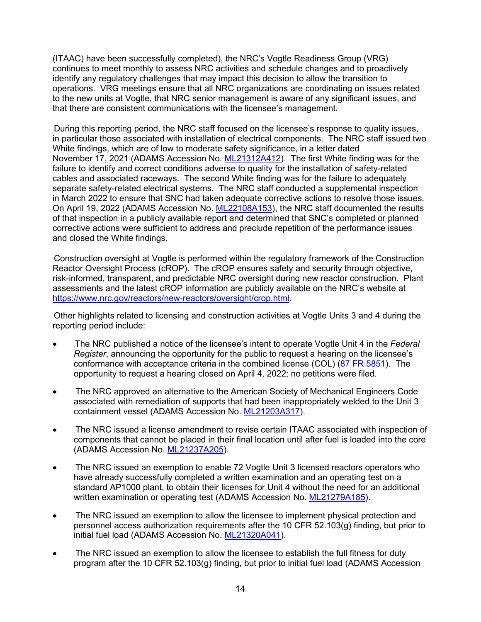(ITAAC) have been successfully completed), the NRC's Vogtle Readiness Group (VRG) continues to meet monthly to assess NRC activities and schedule changes and to proactively identify any regulatory challenges that may impact this decision to allow the transition to operations. VRG meetings ensure that all NRC organizations are coordinating on issues related to the new units at Vogtle, that NRC senior management is aware of any significant issues, and that there are consistent communications with the licensee's management.

During this reporting period, the NRC staff focused on the licensee's response to quality issues, in particular those associated with installation of electrical components. The NRC staff issued two White findings, which are of low to moderate safety significance, in a letter dated November 17, 2021 (ADAMS Accession No. [ML21312A412\)](https://adamswebsearch2.nrc.gov/webSearch2/main.jsp?AccessionNumber=ML21312A412). The first White finding was for the failure to identify and correct conditions adverse to quality for the installation of safety-related cables and associated raceways. The second White finding was for the failure to adequately separate safety-related electrical systems. The NRC staff conducted a supplemental inspection in March 2022 to ensure that SNC had taken adequate corrective actions to resolve those issues. On April 19, 2022 (ADAMS Accession No. [ML22108A153\)](https://adamswebsearch2.nrc.gov/webSearch2/main.jsp?AccessionNumber=ML22108A153), the NRC staff documented the results of that inspection in a publicly available report and determined that SNC's completed or planned corrective actions were sufficient to address and preclude repetition of the performance issues and closed the White findings.

Construction oversight at Vogtle is performed within the regulatory framework of the Construction Reactor Oversight Process (cROP). The cROP ensures safety and security through objective, risk-informed, transparent, and predictable NRC oversight during new reactor construction. Plant assessments and the latest cROP information are publicly available on the NRC's website at [https://www.nrc.gov/reactors/new-reactors/oversight/crop.html.](https://www.nrc.gov/reactors/new-reactors/oversight/crop.html)

Other highlights related to licensing and construction activities at Vogtle Units 3 and 4 during the reporting period include:

- The NRC published a notice of the licensee's intent to operate Vogtle Unit 4 in the *Federal Register*, announcing the opportunity for the public to request a hearing on the licensee's conformance with acceptance criteria in the combined license (COL) [\(87 FR 5851\)](https://www.federalregister.gov/documents/2022/02/02/2022-01983/vogtle-electric-generating-plant-unit-4-hearing-opportunity-associated-with-inspections-tests). The opportunity to request a hearing closed on April 4, 2022; no petitions were filed.
- The NRC approved an alternative to the American Society of Mechanical Engineers Code associated with remediation of supports that had been inappropriately welded to the Unit 3 containment vessel (ADAMS Accession No. [ML21203A317\)](https://adamswebsearch2.nrc.gov/webSearch2/main.jsp?AccessionNumber=ML21203A317).
- The NRC issued a license amendment to revise certain ITAAC associated with inspection of components that cannot be placed in their final location until after fuel is loaded into the core (ADAMS Accession No. [ML21237A205\)](https://adamswebsearch2.nrc.gov/webSearch2/main.jsp?AccessionNumber=ML21237A205).
- The NRC issued an exemption to enable 72 Vogtle Unit 3 licensed reactors operators who have already successfully completed a written examination and an operating test on a standard AP1000 plant, to obtain their licenses for Unit 4 without the need for an additional written examination or operating test (ADAMS Accession No. [ML21279A185\)](https://adamswebsearch2.nrc.gov/webSearch2/main.jsp?AccessionNumber=ML21279A185).
- The NRC issued an exemption to allow the licensee to implement physical protection and personnel access authorization requirements after the 10 CFR 52.103(g) finding, but prior to initial fuel load (ADAMS Accession No. [ML21320A041\)](https://adamswebsearch2.nrc.gov/webSearch2/main.jsp?AccessionNumber=ML21320A041).
- The NRC issued an exemption to allow the licensee to establish the full fitness for duty program after the 10 CFR 52.103(g) finding, but prior to initial fuel load (ADAMS Accession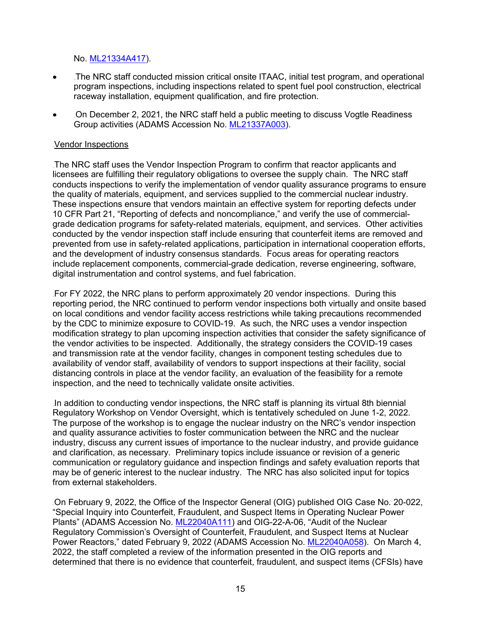No. [ML21334A417\)](https://adamswebsearch2.nrc.gov/webSearch2/main.jsp?AccessionNumber=ML21334A417).

- Intertural The NRC staff conducted mission critical onsite ITAAC, initial test program, and operational program inspections, including inspections related to spent fuel pool construction, electrical raceway installation, equipment qualification, and fire protection.
- On December 2, 2021, the NRC staff held a public meeting to discuss Vogtle Readiness Group activities (ADAMS Accession No. [ML21337A003\)](https://adamswebsearch2.nrc.gov/webSearch2/main.jsp?AccessionNumber=ML21337A003).

#### Vendor Inspections

The NRC staff uses the Vendor Inspection Program to confirm that reactor applicants and licensees are fulfilling their regulatory obligations to oversee the supply chain. The NRC staff conducts inspections to verify the implementation of vendor quality assurance programs to ensure the quality of materials, equipment, and services supplied to the commercial nuclear industry. These inspections ensure that vendors maintain an effective system for reporting defects under 10 CFR Part 21, "Reporting of defects and noncompliance," and verify the use of commercialgrade dedication programs for safety-related materials, equipment, and services. Other activities conducted by the vendor inspection staff include ensuring that counterfeit items are removed and prevented from use in safety-related applications, participation in international cooperation efforts, and the development of industry consensus standards. Focus areas for operating reactors include replacement components, commercial-grade dedication, reverse engineering, software, digital instrumentation and control systems, and fuel fabrication.

476BFor FY 2022, the NRC plans to perform approximately 20 vendor inspections. During this reporting period, the NRC continued to perform vendor inspections both virtually and onsite based on local conditions and vendor facility access restrictions while taking precautions recommended by the CDC to minimize exposure to COVID-19. As such, the NRC uses a vendor inspection modification strategy to plan upcoming inspection activities that consider the safety significance of the vendor activities to be inspected. Additionally, the strategy considers the COVID-19 cases and transmission rate at the vendor facility, changes in component testing schedules due to availability of vendor staff, availability of vendors to support inspections at their facility, social distancing controls in place at the vendor facility, an evaluation of the feasibility for a remote inspection, and the need to technically validate onsite activities.

In addition to conducting vendor inspections, the NRC staff is planning its virtual 8th biennial Regulatory Workshop on Vendor Oversight, which is tentatively scheduled on June 1-2, 2022. The purpose of the workshop is to engage the nuclear industry on the NRC's vendor inspection and quality assurance activities to foster communication between the NRC and the nuclear industry, discuss any current issues of importance to the nuclear industry, and provide guidance and clarification, as necessary. Preliminary topics include issuance or revision of a generic communication or regulatory guidance and inspection findings and safety evaluation reports that may be of generic interest to the nuclear industry. The NRC has also solicited input for topics from external stakeholders.

109BOn February 9, 2022, the Office of the Inspector General (OIG) published OIG Case No. 20-022, "Special Inquiry into Counterfeit, Fraudulent, and Suspect Items in Operating Nuclear Power Plants" (ADAMS Accession No. [ML22040A111\)](https://adamswebsearch2.nrc.gov/webSearch2/main.jsp?AccessionNumber=ML22040A111) and OIG-22-A-06, "Audit of the Nuclear Regulatory Commission's Oversight of Counterfeit, Fraudulent, and Suspect Items at Nuclear Power Reactors," dated February 9, 2022 (ADAMS Accession No. [ML22040A058\)](https://adamswebsearch2.nrc.gov/webSearch2/main.jsp?AccessionNumber=ML22040A058). On March 4, 2022, the staff completed a review of the information presented in the OIG reports and determined that there is no evidence that counterfeit, fraudulent, and suspect items (CFSIs) have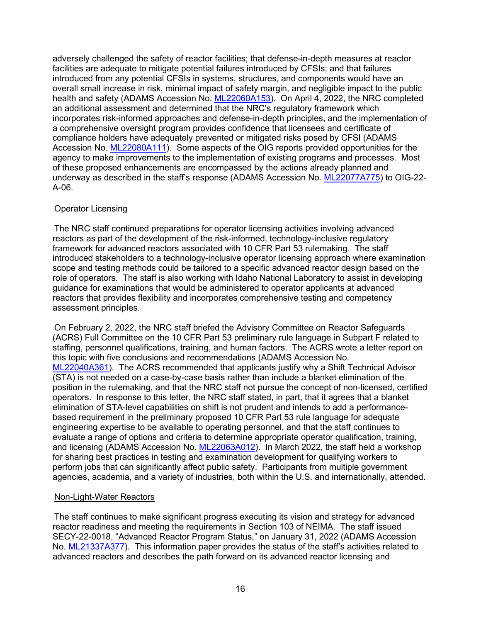adversely challenged the safety of reactor facilities; that defense-in-depth measures at reactor facilities are adequate to mitigate potential failures introduced by CFSIs; and that failures introduced from any potential CFSIs in systems, structures, and components would have an overall small increase in risk, minimal impact of safety margin, and negligible impact to the public health and safety (ADAMS Accession No. [ML22060A153\)](https://adamswebsearch2.nrc.gov/webSearch2/main.jsp?AccessionNumber=ML22060A153). On April 4, 2022, the NRC completed an additional assessment and determined that the NRC's regulatory framework which incorporates risk-informed approaches and defense-in-depth principles, and the implementation of a comprehensive oversight program provides confidence that licensees and certificate of compliance holders have adequately prevented or mitigated risks posed by CFSI (ADAMS Accession No. [ML22080A111\)](https://adamswebsearch2.nrc.gov/webSearch2/main.jsp?AccessionNumber=ML22080A111). Some aspects of the OIG reports provided opportunities for the agency to make improvements to the implementation of existing programs and processes. Most of these proposed enhancements are encompassed by the actions already planned and underway as described in the staff's response (ADAMS Accession No. [ML22077A775\)](https://adamswebsearch2.nrc.gov/webSearch2/main.jsp?AccessionNumber=ML22077A775) to OIG-22- A-06.

#### **Operator Licensing**

The NRC staff continued preparations for operator licensing activities involving advanced reactors as part of the development of the risk-informed, technology-inclusive regulatory framework for advanced reactors associated with 10 CFR Part 53 rulemaking. The staff introduced stakeholders to a technology-inclusive operator licensing approach where examination scope and testing methods could be tailored to a specific advanced reactor design based on the role of operators. The staff is also working with Idaho National Laboratory to assist in developing guidance for examinations that would be administered to operator applicants at advanced reactors that provides flexibility and incorporates comprehensive testing and competency assessment principles.

On February 2, 2022, the NRC staff briefed the Advisory Committee on Reactor Safeguards (ACRS) Full Committee on the 10 CFR Part 53 preliminary rule language in Subpart F related to staffing, personnel qualifications, training, and human factors. The ACRS wrote a letter report on this topic with five conclusions and recommendations (ADAMS Accession No. [ML22040A361\)](https://adamsxt.nrc.gov/idmws/ViewDocByAccession.asp?AccessionNumber=ML22040A361). The ACRS recommended that applicants justify why a Shift Technical Advisor (STA) is not needed on a case-by-case basis rather than include a blanket elimination of the position in the rulemaking, and that the NRC staff not pursue the concept of non-licensed, certified operators. In response to this letter, the NRC staff stated, in part, that it agrees that a blanket elimination of STA-level capabilities on shift is not prudent and intends to add a performancebased requirement in the preliminary proposed 10 CFR Part 53 rule language for adequate engineering expertise to be available to operating personnel, and that the staff continues to evaluate a range of options and criteria to determine appropriate operator qualification, training, and licensing (ADAMS Accession No. [ML22063A012\)](https://adamsxt.nrc.gov/idmws/ViewDocByAccession.asp?AccessionNumber=ML22063A012). In March 2022, the staff held a workshop for sharing best practices in testing and examination development for qualifying workers to perform jobs that can significantly affect public safety. Participants from multiple government agencies, academia, and a variety of industries, both within the U.S. and internationally, attended.

#### Non-Light-Water Reactors

The staff continues to make significant progress executing its vision and strategy for advanced reactor readiness and meeting the requirements in Section 103 of NEIMA. The staff issued SECY-22-0018, "Advanced Reactor Program Status," on January 31, 2022 (ADAMS Accession No. [ML21337A377\)](https://adamswebsearch2.nrc.gov/webSearch2/main.jsp?AccessionNumber=ML21337A377). This information paper provides the status of the staff's activities related to advanced reactors and describes the path forward on its advanced reactor licensing and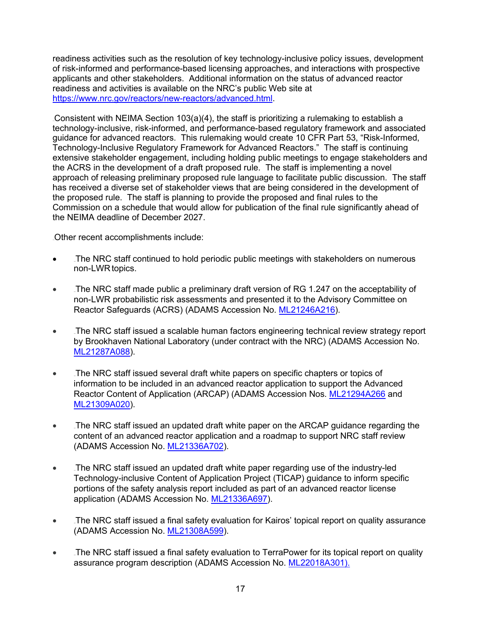readiness activities such as the resolution of key technology-inclusive policy issues, development of risk-informed and performance-based licensing approaches, and interactions with prospective applicants and other stakeholders. Additional information on the status of advanced reactor readiness and activities is available on the NRC's public Web site at [https://www.nrc.gov/reactors/new-reactors/advanced.html.](https://www.nrc.gov/reactors/new-reactors/advanced.html)

Consistent with NEIMA Section 103(a)(4), the staff is prioritizing a rulemaking to establish a technology-inclusive, risk-informed, and performance-based regulatory framework and associated guidance for advanced reactors. This rulemaking would create 10 CFR Part 53, "Risk-Informed, Technology-Inclusive Regulatory Framework for Advanced Reactors." The staff is continuing extensive stakeholder engagement, including holding public meetings to engage stakeholders and the ACRS in the development of a draft proposed rule. The staff is implementing a novel approach of releasing preliminary proposed rule language to facilitate public discussion. The staff has received a diverse set of stakeholder views that are being considered in the development of the proposed rule. The staff is planning to provide the proposed and final rules to the Commission on a schedule that would allow for publication of the final rule significantly ahead of the NEIMA deadline of December 2027.

Other recent accomplishments include:

- The NRC staff continued to hold periodic public meetings with stakeholders on numerous non-LWR topics.
- The NRC staff made public a preliminary draft version of RG 1.247 on the acceptability of non-LWR probabilistic risk assessments and presented it to the Advisory Committee on Reactor Safeguards (ACRS) (ADAMS Accession No. [ML21246A216\)](https://adamsxt.nrc.gov/navigator/AdamsXT/content/downloadContent.faces?objectStoreName=MainLibrary&ForceBrowserDownloadMgrPrompt=false&vsId=%7bA96C78B0-DB4E-CE03-8592-7BACF4900001%7d).
- If the NRC staff issued a scalable human factors engineering technical review strategy report by Brookhaven National Laboratory (under contract with the NRC) (ADAMS Accession No. [ML21287A088\)](https://www.nrc.gov/docs/ml2128/ML21287A088.pdf).
- The NRC staff issued several draft white papers on specific chapters or topics of information to be included in an advanced reactor application to support the Advanced Reactor Content of Application (ARCAP) (ADAMS Accession Nos. [ML21294A266](https://www.nrc.gov/docs/ML2129/ML21294A266.pdf) and [ML21309A020\)](https://www.nrc.gov/docs/ML2130/ML21309A020.pdf).
- If the NRC staff issued an updated draft white paper on the ARCAP guidance regarding the content of an advanced reactor application and a roadmap to support NRC staff review (ADAMS Accession No. [ML21336A702\)](https://www.nrc.gov/docs/ML2133/ML21336A702.pdf).
- The NRC staff issued an updated draft white paper regarding use of the industry-led Technology-inclusive Content of Application Project (TICAP) guidance to inform specific portions of the safety analysis report included as part of an advanced reactor license application (ADAMS Accession No. [ML21336A697\)](https://www.nrc.gov/docs/ML2133/ML21336A697.pdf).
- If the NRC staff issued a final safety evaluation for Kairos' topical report on quality assurance (ADAMS Accession No. [ML21308A599\)](https://www.nrc.gov/docs/ML2130/ML21308A599.html).
- The NRC staff issued a final safety evaluation to TerraPower for its topical report on quality assurance program description (ADAMS Accession No. [ML22018A301\)](https://adamsxt.nrc.gov/navigator/AdamsXT/packagecontent/packageContent.faces?id=%7b2E5CE1F9-22CE-CC1F-8719-7E6F32800000%7d&objectStoreName=MainLibrary&wId=1647886690291).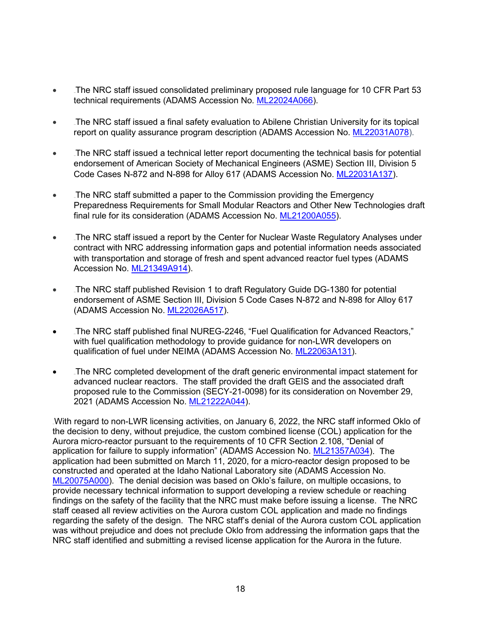- The NRC staff issued consolidated preliminary proposed rule language for 10 CFR Part 53 technical requirements (ADAMS Accession No. [ML22024A066\)](https://www.nrc.gov/docs/ML2202/ML22024A066.pdf).
- The NRC staff issued a final safety evaluation to Abilene Christian University for its topical report on quality assurance program description (ADAMS Accession No. [ML22031A078\)](https://adamsxt.nrc.gov/navigator/AdamsXT/packagecontent/packageContent.faces?id=%7b03295D36-1BF5-C73B-85F3-7EB099A00000%7d&objectStoreName=MainLibrary&wId=1647886571520).
- The NRC staff issued a technical letter report documenting the technical basis for potential endorsement of American Society of Mechanical Engineers (ASME) Section III, Division 5 Code Cases N-872 and N-898 for Alloy 617 (ADAMS Accession No. [ML22031A137\)](https://adamsxt.nrc.gov/navigator/AdamsXT/content/downloadContent.faces?objectStoreName=MainLibrary&ForceBrowserDownloadMgrPrompt=false&vsId=%7bE5FD75BE-9CD7-CDD5-9074-7EB0F5B00001%7d).
- The NRC staff submitted a paper to the Commission providing the Emergency Preparedness Requirements for Small Modular Reactors and Other New Technologies draft final rule for its consideration (ADAMS Accession No. [ML21200A055\)](https://adamswebsearch2.nrc.gov/webSearch2/main.jsp?AccessionNumber=ML21200A055).
- The NRC staff issued a report by the Center for Nuclear Waste Regulatory Analyses under contract with NRC addressing information gaps and potential information needs associated with transportation and storage of fresh and spent advanced reactor fuel types (ADAMS Accession No. [ML21349A914\)](https://adamsxt.nrc.gov/navigator/AdamsXT/content/downloadContent.faces?objectStoreName=MainLibrary&vsId=%7b0B1FBFF4-7EA0-C996-8BDF-7DBF47B00001%7d&ForceBrowserDownloadMgrPrompt=false).
- The NRC staff published Revision 1 to draft Regulatory Guide DG-1380 for potential endorsement of ASME Section III, Division 5 Code Cases N-872 and N-898 for Alloy 617 (ADAMS Accession No. [ML22026A517\)](https://adamsxt.nrc.gov/navigator/AdamsXT/content/downloadContent.faces?objectStoreName=MainLibrary&ForceBrowserDownloadMgrPrompt=false&vsId=%7bFFEF495D-E4A6-CD05-844D-7E98B4B00000%7d).
- The NRC staff published final NUREG-2246, "Fuel Qualification for Advanced Reactors," with fuel qualification methodology to provide guidance for non-LWR developers on qualification of fuel under NEIMA (ADAMS Accession No. [ML22063A131\)](https://adamswebsearch2.nrc.gov/webSearch2/main.jsp?AccessionNumber=ML22063A131).
- The NRC completed development of the draft generic environmental impact statement for advanced nuclear reactors. The staff provided the draft GEIS and the associated draft proposed rule to the Commission (SECY-21-0098) for its consideration on November 29, 2021 (ADAMS Accession No. [ML21222A044\)](https://www.nrc.gov/docs/ML2122/ML21222A044.html).

With regard to non-LWR licensing activities, on January 6, 2022, the NRC staff informed Oklo of the decision to deny, without prejudice, the custom combined license (COL) application for the Aurora micro-reactor pursuant to the requirements of 10 CFR Section 2.108, "Denial of application for failure to supply information" (ADAMS Accession No. [ML21357A034\)](https://adamsxt.nrc.gov/navigator/AdamsXT/content/downloadContent.faces?objectStoreName=MainLibrary&ForceBrowserDownloadMgrPrompt=false&vsId=%7b360B2533-16AD-C843-BEEC-7DE78F700000%7d). The application had been submitted on March 11, 2020, for a micro-reactor design proposed to be constructed and operated at the Idaho National Laboratory site (ADAMS Accession No. [ML20075A000\)](https://adamsxt.nrc.gov/navigator/AdamsXT/packagecontent/packageContent.faces?id=%7b11CAB2F9-D549-CBC4-86E4-70DD11B00000%7d&objectStoreName=MainLibrary&wId=1648132602313). The denial decision was based on Oklo's failure, on multiple occasions, to provide necessary technical information to support developing a review schedule or reaching findings on the safety of the facility that the NRC must make before issuing a license. The NRC staff ceased all review activities on the Aurora custom COL application and made no findings regarding the safety of the design. The NRC staff's denial of the Aurora custom COL application was without prejudice and does not preclude Oklo from addressing the information gaps that the NRC staff identified and submitting a revised license application for the Aurora in the future.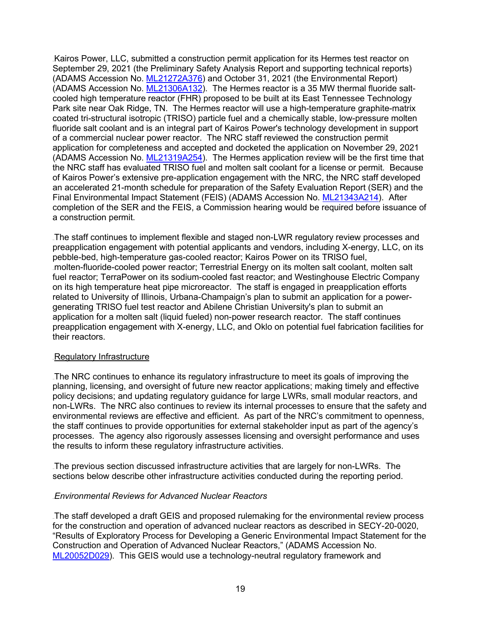Kairos Power, LLC, submitted a construction permit application for its Hermes test reactor on September 29, 2021 (the Preliminary Safety Analysis Report and supporting technical reports) (ADAMS Accession No. [ML21272A376\)](https://adamsxt.nrc.gov/navigator/AdamsXT/content/downloadContent.faces?objectStoreName=MainLibrary&ForceBrowserDownloadMgrPrompt=false&vsId=%7bC870A45F-091A-C5EF-A14E-7C3400600000%7d) and October 31, 2021 (the Environmental Report) (ADAMS Accession No. [ML21306A132\)](https://adamsxt.nrc.gov/navigator/AdamsXT/content/downloadContent.faces?objectStoreName=MainLibrary&ForceBrowserDownloadMgrPrompt=false&vsId=%7b0D63A5BB-3F37-CFD2-8574-7CE116F00000%7d). The Hermes reactor is a 35 MW thermal fluoride saltcooled high temperature reactor (FHR) proposed to be built at its East Tennessee Technology Park site near Oak Ridge, TN. The Hermes reactor will use a high-temperature graphite-matrix coated tri-structural isotropic (TRISO) particle fuel and a chemically stable, low-pressure molten fluoride salt coolant and is an integral part of Kairos Power's technology development in support of a commercial nuclear power reactor. The NRC staff reviewed the construction permit application for completeness and accepted and docketed the application on November 29, 2021 (ADAMS Accession No. [ML21319A254\)](https://adamsxt.nrc.gov/navigator/AdamsXT/content/downloadContent.faces?objectStoreName=MainLibrary&ForceBrowserDownloadMgrPrompt=false&vsId=%7b6C98DA4C-08B3-CB2D-853E-7D2540200000%7d). The Hermes application review will be the first time that the NRC staff has evaluated TRISO fuel and molten salt coolant for a license or permit. Because of Kairos Power's extensive pre-application engagement with the NRC, the NRC staff developed an accelerated 21-month schedule for preparation of the Safety Evaluation Report (SER) and the Final Environmental Impact Statement (FEIS) (ADAMS Accession No. [ML21343A214\)](https://adamsxt.nrc.gov/navigator/AdamsXT/content/downloadContent.faces?objectStoreName=MainLibrary&ForceBrowserDownloadMgrPrompt=false&vsId=%7bA2E62711-466E-C178-A53A-7D9FED100000%7d). After completion of the SER and the FEIS, a Commission hearing would be required before issuance of a construction permit.

The staff continues to implement flexible and staged non-LWR regulatory review processes and preapplication engagement with potential applicants and vendors, including X-energy, LLC, on its pebble-bed, high-temperature gas-cooled reactor; Kairos Power on its TRISO fuel, 482Bmolten-fluoride-cooled power reactor; Terrestrial Energy on its molten salt coolant, molten salt fuel reactor; TerraPower on its sodium-cooled fast reactor; and Westinghouse Electric Company on its high temperature heat pipe microreactor. The staff is engaged in preapplication efforts related to University of Illinois, Urbana-Champaign's plan to submit an application for a powergenerating TRISO fuel test reactor and Abilene Christian University's plan to submit an application for a molten salt (liquid fueled) non-power research reactor. The staff continues preapplication engagement with X-energy, LLC, and Oklo on potential fuel fabrication facilities for their reactors.

#### Regulatory Infrastructure

The NRC continues to enhance its regulatory infrastructure to meet its goals of improving the planning, licensing, and oversight of future new reactor applications; making timely and effective policy decisions; and updating regulatory guidance for large LWRs, small modular reactors, and non-LWRs. The NRC also continues to review its internal processes to ensure that the safety and environmental reviews are effective and efficient. As part of the NRC's commitment to openness, the staff continues to provide opportunities for external stakeholder input as part of the agency's processes. The agency also rigorously assesses licensing and oversight performance and uses the results to inform these regulatory infrastructure activities.

The previous section discussed infrastructure activities that are largely for non-LWRs. The sections below describe other infrastructure activities conducted during the reporting period.

#### 484B*Environmental Reviews for Advanced Nuclear Reactors*

The staff developed a draft GEIS and proposed rulemaking for the environmental review process for the construction and operation of advanced nuclear reactors as described in SECY-20-0020, "Results of Exploratory Process for Developing a Generic Environmental Impact Statement for the Construction and Operation of Advanced Nuclear Reactors," (ADAMS Accession No. [ML20052D029\)](https://adamsxt.nrc.gov/navigator/AdamsXT/packagecontent/packageContent.faces?id=%7b083EF6E7-CAB6-C74E-86CD-706839800000%7d&objectStoreName=MainLibrary&wId=1633605336075). This GEIS would use a technology-neutral regulatory framework and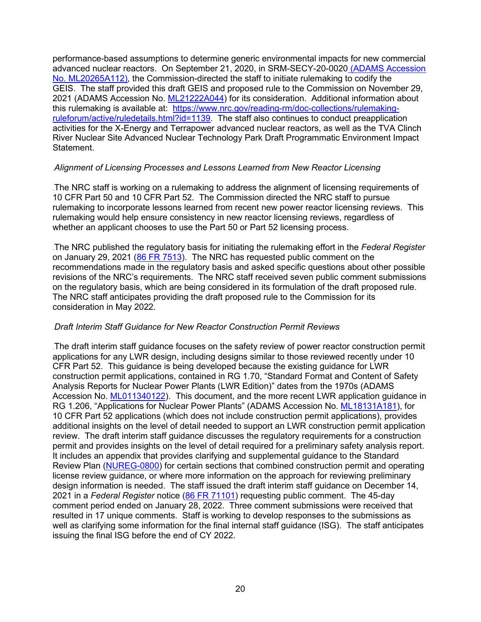performance-based assumptions to determine generic environmental impacts for new commercial advanced nuclear reactors. On September 21, 2020, in SRM-SECY-20-0020 (ADAMS Accession No. [ML20265A112\)](https://www.nrc.gov/docs/ML2026/ML20265A112.pdf), the Commission-directed the staff to initiate rulemaking to codify the GEIS. The staff provided this draft GEIS and proposed rule to the Commission on November 29, 2021 (ADAMS Accession No. [ML21222A044\)](https://adamsxt.nrc.gov/navigator/AdamsXT/packagecontent/packageContent.faces?id=%7b577EDD99-808F-CE84-8675-7B300CA00000%7d&objectStoreName=MainLibrary&wId=1648137406299) for its consideration. Additional information about this rulemaking is available at: [https://www.nrc.gov/reading-rm/doc-collections/rulemaking](https://www.nrc.gov/reading-rm/doc-collections/rulemaking-ruleforum/active/ruledetails.html?id=1139)[ruleforum/active/ruledetails.html?id=1139.](https://www.nrc.gov/reading-rm/doc-collections/rulemaking-ruleforum/active/ruledetails.html?id=1139) The staff also continues to conduct preapplication activities for the X-Energy and Terrapower advanced nuclear reactors, as well as the TVA Clinch River Nuclear Site Advanced Nuclear Technology Park Draft Programmatic Environment Impact Statement.

#### 486B*Alignment of Licensing Processes and Lessons Learned from New Reactor Licensing*

The NRC staff is working on a rulemaking to address the alignment of licensing requirements of 10 CFR Part 50 and 10 CFR Part 52. The Commission directed the NRC staff to pursue rulemaking to incorporate lessons learned from recent new power reactor licensing reviews. This rulemaking would help ensure consistency in new reactor licensing reviews, regardless of whether an applicant chooses to use the Part 50 or Part 52 licensing process.

The NRC published the regulatory basis for initiating the rulemaking effort in the *Federal Register* on January 29, 2021 [\(86 FR 7513\)](https://www.federalregister.gov/documents/2021/01/29/2021-01860/alignment-of-licensing-processes-and-lessons-learned-from-new-reactor-licensing). The NRC has requested public comment on the recommendations made in the regulatory basis and asked specific questions about other possible revisions of the NRC's requirements. The NRC staff received seven public comment submissions on the regulatory basis, which are being considered in its formulation of the draft proposed rule. The NRC staff anticipates providing the draft proposed rule to the Commission for its consideration in May 2022.

#### 489B*Draft Interim Staff Guidance for New Reactor Construction Permit Reviews*

The draft interim staff guidance focuses on the safety review of power reactor construction permit applications for any LWR design, including designs similar to those reviewed recently under 10 CFR Part 52. This guidance is being developed because the existing guidance for LWR construction permit applications, contained in RG 1.70, "Standard Format and Content of Safety Analysis Reports for Nuclear Power Plants (LWR Edition)" dates from the 1970s (ADAMS Accession No. [ML011340122\)](https://adamsxt.nrc.gov/navigator/AdamsXT/packagecontent/packageContent.faces?id=%7b18205812-1CBD-4677-9123-182CA052CBD1%7d&objectStoreName=MainLibrary&wId=1633614102920). This document, and the more recent LWR application guidance in RG 1.206, "Applications for Nuclear Power Plants" (ADAMS Accession No. [ML18131A181\)](https://adamsxt.nrc.gov/navigator/AdamsXT/content/downloadContent.faces?objectStoreName=MainLibrary&vsId=%7b4DAA80F4-2B8E-4A81-BC54-F63CAAE67577%7d&ForceBrowserDownloadMgrPrompt=false), for 10 CFR Part 52 applications (which does not include construction permit applications), provides additional insights on the level of detail needed to support an LWR construction permit application review. The draft interim staff guidance discusses the regulatory requirements for a construction permit and provides insights on the level of detail required for a preliminary safety analysis report. It includes an appendix that provides clarifying and supplemental guidance to the Standard Review Plan [\(NUREG-0800\)](https://www.nrc.gov/reading-rm/doc-collections/nuregs/staff/sr0800/index.html) for certain sections that combined construction permit and operating license review guidance, or where more information on the approach for reviewing preliminary design information is needed. The staff issued the draft interim staff guidance on December 14, 2021 in a *Federal Register* notice [\(86 FR 71101\)](https://www.federalregister.gov/documents/2021/12/14/2021-27035/safety-review-of-light-water-power-reactor-construction-permit-applications) requesting public comment. The 45-day comment period ended on January 28, 2022. Three comment submissions were received that resulted in 17 unique comments. Staff is working to develop responses to the submissions as well as clarifying some information for the final internal staff guidance (ISG). The staff anticipates issuing the final ISG before the end of CY 2022.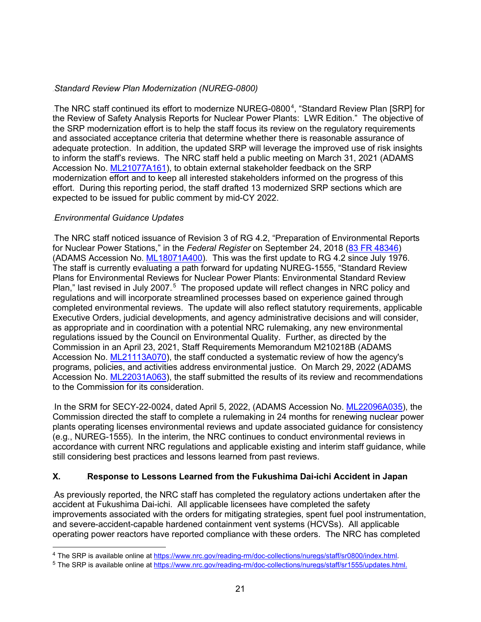## **Standard Review Plan Modernization (NUREG-0800)**

.The NRC staff continued its effort to modernize NUREG-0800 $^4$ , "Standard Review Plan [SRP] for the Review of Safety Analysis Reports for Nuclear Power Plants: LWR Edition." The objective of the SRP modernization effort is to help the staff focus its review on the regulatory requirements and associated acceptance criteria that determine whether there is reasonable assurance of adequate protection. In addition, the updated SRP will leverage the improved use of risk insights to inform the staff's reviews. The NRC staff held a public meeting on March 31, 2021 (ADAMS Accession No. [ML21077A161\)](https://adamsxt.nrc.gov/navigator/AdamsXT/content/downloadContent.faces?objectStoreName=MainLibrary&vsId=%7b562E03A7-712D-C6B5-A460-784620900002%7d&ForceBrowserDownloadMgrPrompt=false), to obtain external stakeholder feedback on the SRP modernization effort and to keep all interested stakeholders informed on the progress of this effort. During this reporting period, the staff drafted 13 modernized SRP sections which are expected to be issued for public comment by mid-CY 2022.

## 492B*Environmental Guidance Updates*

The NRC staff noticed issuance of Revision 3 of RG 4.2, "Preparation of Environmental Reports for Nuclear Power Stations," in the *Federal Register* on September 24, 2018 [\(83 FR 48346\)](https://www.federalregister.gov/documents/2018/09/24/2018-20699/preparation-of-environmental-reports-for-nuclear-power-stations) (ADAMS Accession No. [ML18071A400\)](https://adamsxt.nrc.gov/navigator/AdamsXT/content/downloadContent.faces?objectStoreName=MainLibrary&vsId=%7b4B86FCB9-C238-4DB3-A320-D5FF48028D26%7d&ForceBrowserDownloadMgrPrompt=false). This was the first update to RG 4.2 since July 1976. The staff is currently evaluating a path forward for updating NUREG-1555, "Standard Review Plans for Environmental Reviews for Nuclear Power Plants: Environmental Standard Review Plan," last revised in July 2007.<sup>5</sup> The proposed update will reflect changes in NRC policy and regulations and will incorporate streamlined processes based on experience gained through completed environmental reviews. The update will also reflect statutory requirements, applicable Executive Orders, judicial developments, and agency administrative decisions and will consider, as appropriate and in coordination with a potential NRC rulemaking, any new environmental regulations issued by the Council on Environmental Quality. Further, as directed by the Commission in an April 23, 2021, Staff Requirements Memorandum M210218B (ADAMS Accession No. [ML21113A070\)](https://adamswebsearch2.nrc.gov/webSearch2/main.jsp?AccessionNumber=ML21113A070), the staff conducted a systematic review of how the agency's programs, policies, and activities address environmental justice. On March 29, 2022 (ADAMS Accession No. [ML22031A063\)](https://www.nrc.gov/docs/ML2203/ML22031A063.html), the staff submitted the results of its review and recommendations to the Commission for its consideration.

In the SRM for SECY-22-0024, dated April 5, 2022, (ADAMS Accession No. [ML22096A035\)](https://adamswebsearch2.nrc.gov/webSearch2/main.jsp?AccessionNumber=ML22096A035), the Commission directed the staff to complete a rulemaking in 24 months for renewing nuclear power plants operating licenses environmental reviews and update associated guidance for consistency (e.g., NUREG-1555). In the interim, the NRC continues to conduct environmental reviews in accordance with current NRC regulations and applicable existing and interim staff guidance, while still considering best practices and lessons learned from past reviews.

#### **X.** 146B**Response to Lessons Learned from the Fukushima Dai-ichi Accident in Japan**

As previously reported, the NRC staff has completed the regulatory actions undertaken after the accident at Fukushima Dai-ichi. All applicable licensees have completed the safety improvements associated with the orders for mitigating strategies, spent fuel pool instrumentation, and severe-accident-capable hardened containment vent systems (HCVSs). All applicable operating power reactors have reported compliance with these orders. The NRC has completed

<sup>&</sup>lt;sup>4</sup> The SRP is available online at [https://www.nrc.gov/reading-rm/doc-collections/nuregs/staff/sr0800/index.html.](https://www.nrc.gov/reading-rm/doc-collections/nuregs/staff/sr0800/index.html)<br><sup>5</sup> The SRP is available online at https://www.nrc.gov/reading-rm/doc-collections/nuregs/staff/sr1555/update